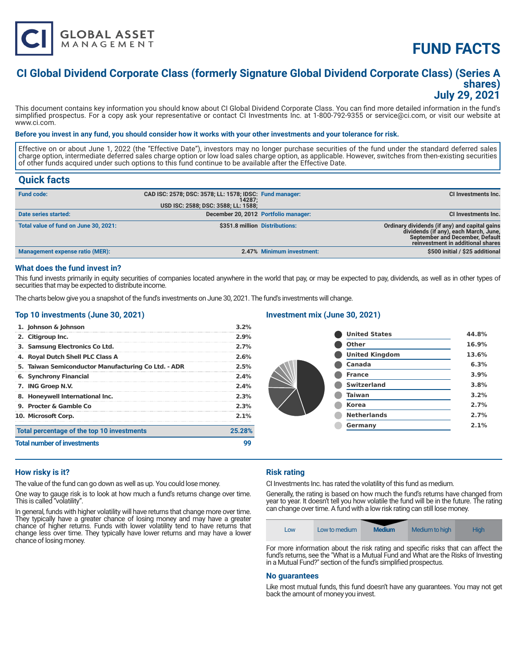

# **FUND FACTS**

### **CI Global Dividend Corporate Class (formerly Signature Global Dividend Corporate Class) (Series A shares) July 29, 2021**

This document contains key information you should know about CI Global Dividend Corporate Class. You can find more detailed information in the fund's simplified prospectus. For a copy ask your representative or contact CI Investments Inc. at 1-800-792-9355 or service@ci.com, or visit our website at www.ci.com.

#### **Before you invest in any fund, you should consider how it works with your other investments and your tolerance for risk.**

Effective on or about June 1, 2022 (the "Effective Date"), investors may no longer purchase securities of the fund under the standard deferred sales charge option, intermediate deferred sales charge option or low load sales charge option, as applicable. However, switches from then-existing securities of other funds acquired under such options to this fund continue to be available after the Effective Date.

### **Quick facts**

| <b>Fund code:</b>                      | CAD ISC: 2578; DSC: 3578; LL: 1578; IDSC: Fund manager:<br>14287:<br>USD ISC: 2588; DSC: 3588; LL: 1588; |                           | CI Investments Inc.                                                                                                                                            |
|----------------------------------------|----------------------------------------------------------------------------------------------------------|---------------------------|----------------------------------------------------------------------------------------------------------------------------------------------------------------|
| Date series started:                   | December 20, 2012 Portfolio manager:                                                                     |                           | CI Investments Inc.                                                                                                                                            |
| Total value of fund on June 30, 2021:  | \$351.8 million Distributions:                                                                           |                           | Ordinary dividends (if any) and capital gains<br>dividends (if any), each March, June,<br>September and December, Default<br>reinvestment in additional shares |
| <b>Management expense ratio (MER):</b> |                                                                                                          | 2.47% Minimum investment: | \$500 initial / \$25 additional                                                                                                                                |

#### **What does the fund invest in?**

This fund invests primarily in equity securities of companies located anywhere in the world that pay, or may be expected to pay, dividends, as well as in other types of securities that may be expected to distribute income.

The charts below give you a snapshot of the fund's investments on June 30, 2021. The fund's investments will change.

#### **Top 10 investments (June 30, 2021)**

|                                    | 1. Johnson & Johnson                                | 3.2%   |  |
|------------------------------------|-----------------------------------------------------|--------|--|
|                                    | 2. Citigroup Inc.                                   | 2.9%   |  |
|                                    | 3. Samsung Electronics Co Ltd.                      | 2.7%   |  |
|                                    | 4. Royal Dutch Shell PLC Class A                    | 2.6%   |  |
|                                    | 5. Taiwan Semiconductor Manufacturing Co Ltd. - ADR | 2.5%   |  |
|                                    | 6. Synchrony Financial                              | 2.4%   |  |
|                                    | 7. ING Groep N.V.                                   | 2.4%   |  |
|                                    | 8. Honeywell International Inc.                     | 2.3%   |  |
|                                    | 9. Procter & Gamble Co.                             | 2.3%   |  |
| 10. Microsoft Corp.<br>$2.1\%$     |                                                     |        |  |
|                                    | Total percentage of the top 10 investments          | 25.28% |  |
| <b>Total number of investments</b> |                                                     |        |  |

#### **Investment mix (June 30, 2021)**

| <b>United States</b>  | 44.8% |
|-----------------------|-------|
| <b>Other</b>          | 16.9% |
| <b>United Kingdom</b> | 13.6% |
| Canada                | 6.3%  |
| <b>France</b>         | 3.9%  |
| <b>Switzerland</b>    | 3.8%  |
| <b>Taiwan</b>         | 3.2%  |
| <b>Korea</b>          | 2.7%  |
| <b>Netherlands</b>    | 2.7%  |
| Germany               | 2.1%  |
|                       |       |

#### **How risky is it?**

The value of the fund can go down as well as up. You could lose money.

One way to gauge risk is to look at how much a fund's returns change over time. This is called "volatility".

In general, funds with higher volatility will have returns that change more over time. They typically have a greater chance of losing money and may have a greater chance of higher returns. Funds with lower volatility tend to have returns that change less over time. They typically have lower returns and may have a lower chance of losing money.

#### **Risk rating**

CI Investments Inc. has rated the volatility of this fund as medium.

Generally, the rating is based on how much the fund's returns have changed from year to year. It doesn't tell you how volatile the fund will be in the future. The rating can change over time. A fund with a low risk rating can still lose money.

| Low                                                                               | Low to medium | <b>Medium</b> | Medium to high | Hiah. |
|-----------------------------------------------------------------------------------|---------------|---------------|----------------|-------|
| For more information about the sixly ration and enocifie sixly that can offect th |               |               |                |       |

For more information about the risk rating and specific risks that can affect the fund's returns, see the "What is a Mutual Fund and What are the Risks of Investing in a Mutual Fund?" section of the fund's simplified prospectus.

#### **No guarantees**

Like most mutual funds, this fund doesn't have any guarantees. You may not get back the amount of money you invest.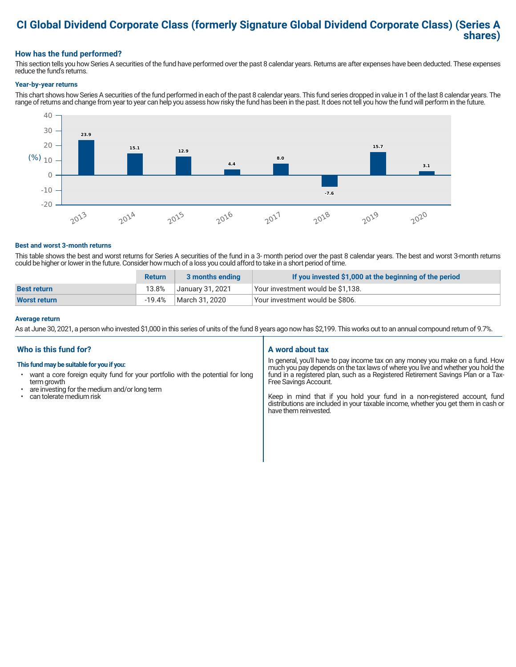## **CI Global Dividend Corporate Class (formerly Signature Global Dividend Corporate Class) (Series A shares)**

### **How has the fund performed?**

This section tells you how Series A securities of the fund have performed over the past 8 calendar years. Returns are after expenses have been deducted. These expenses reduce the fund's returns.

#### **Year-by-year returns**

This chart shows how Series A securities of the fund performed in each of the past 8 calendar years. This fund series dropped in value in 1 of the last 8 calendar years. The range of returns and change from year to year can help you assess how risky the fund has been in the past. It does not tell you how the fund will perform in the future.



#### **Best and worst 3-month returns**

This table shows the best and worst returns for Series A securities of the fund in a 3- month period over the past 8 calendar years. The best and worst 3-month returns could be higher or lower in the future. Consider how much of a loss you could afford to take in a short period of time.

|                     | <b>Return</b> | 3 months ending  | If you invested \$1,000 at the beginning of the period |
|---------------------|---------------|------------------|--------------------------------------------------------|
| <b>Best return</b>  | 13.8%         | January 31, 2021 | Your investment would be \$1,138.                      |
| <b>Worst return</b> | -19.4%        | March 31, 2020   | Vour investment would be \$806.                        |

#### **Average return**

As at June 30, 2021, a person who invested \$1,000 in this series of units of the fund 8 years ago now has \$2,199. This works out to an annual compound return of 9.7%.

#### **Who is this fund for?**

#### **This fund may be suitable for you if you:**

- want a core foreign equity fund for your portfolio with the potential for long term growth
- are investing for the medium and/or long term
- can tolerate medium risk

#### **A word about tax**

In general, you'll have to pay income tax on any money you make on a fund. How much you pay depends on the tax laws of where you live and whether you hold the fund in a registered plan, such as a Registered Retirement Savings Plan or a Tax-Free Savings Account.

Keep in mind that if you hold your fund in a non-registered account, fund distributions are included in your taxable income, whether you get them in cash or have them reinvested.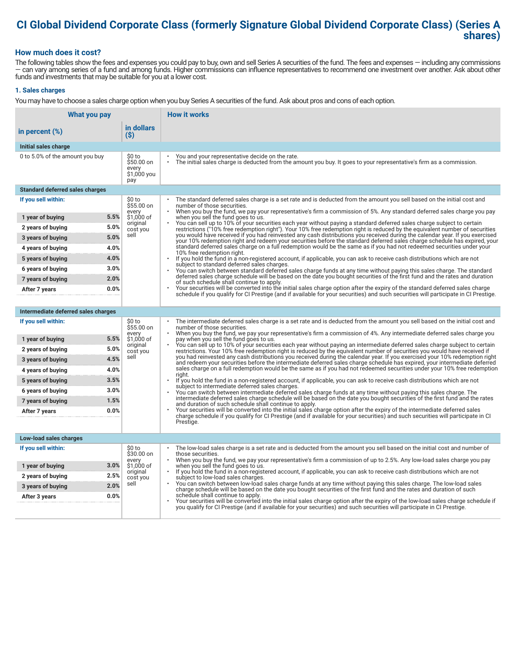# **CI Global Dividend Corporate Class (formerly Signature Global Dividend Corporate Class) (Series A shares)**

#### **How much does it cost?**

The following tables show the fees and expenses you could pay to buy, own and sell Series A securities of the fund. The fees and expenses — including any commissions — can vary among series of a fund and among funds. Higher commissions can influence representatives to recommend one investment over another. Ask about other funds and investments that may be suitable for you at a lower cost.

#### **1. Sales charges**

You may have to choose a sales charge option when you buy Series A securities of the fund. Ask about pros and cons of each option.

| What you pay                           |                                                     | <b>How it works</b>                                                                                                                                                                                                                                                                   |  |
|----------------------------------------|-----------------------------------------------------|---------------------------------------------------------------------------------------------------------------------------------------------------------------------------------------------------------------------------------------------------------------------------------------|--|
| in percent (%)                         | in dollars<br>$($ \$)                               |                                                                                                                                                                                                                                                                                       |  |
| Initial sales charge                   |                                                     |                                                                                                                                                                                                                                                                                       |  |
| 0 to 5.0% of the amount you buy        | \$0 to<br>\$50.00 on<br>every<br>\$1,000 you<br>pay | You and your representative decide on the rate.<br>The initial sales charge is deducted from the amount you buy. It goes to your representative's firm as a commission.                                                                                                               |  |
| <b>Standard deferred sales charges</b> |                                                     |                                                                                                                                                                                                                                                                                       |  |
| If you sell within:                    | \$0 to<br>\$55.00 on                                | The standard deferred sales charge is a set rate and is deducted from the amount you sell based on the initial cost and<br>number of those securities.                                                                                                                                |  |
| 1 year of buying                       | every<br>5.5%<br>\$1,000 of                         | When you buy the fund, we pay your representative's firm a commission of 5%. Any standard deferred sales charge you pay<br>when you sell the fund goes to us.                                                                                                                         |  |
| 2 years of buying                      | original<br>5.0%<br>cost you                        | You can sell up to 10% of your securities each year without paying a standard deferred sales charge subject to certain<br>restrictions ("10% free redemption right"). Your 10% free redemption right is reduced by the equivalent number of securities                                |  |
| 3 years of buying                      | sell<br>5.0%                                        | you would have received if you had reinvested any cash distributions you received during the calendar year. If you exercised<br>your 10% redemption right and redeem your securities before the standard deferred sales charge schedule has expired, your                             |  |
| 4 years of buying                      | 4.0%                                                | standard deferred sales charge on a full redemption would be the same as if you had not redeemed securities under your<br>10% free redemption right.                                                                                                                                  |  |
| 5 years of buying                      | 4.0%                                                | $\ddot{\phantom{0}}$<br>If you hold the fund in a non-registered account, if applicable, you can ask to receive cash distributions which are not                                                                                                                                      |  |
| 6 years of buying                      | 3.0%                                                | subject to standard deferred sales charges.<br>You can switch between standard deferred sales charge funds at any time without paying this sales charge. The standard                                                                                                                 |  |
| 7 years of buying                      | 2.0%                                                | deferred sales charge schedule will be based on the date you bought securities of the first fund and the rates and duration<br>of such schedule shall continue to apply.                                                                                                              |  |
| After 7 years                          | 0.0%                                                | Your securities will be converted into the initial sales charge option after the expiry of the standard deferred sales charge<br>schedule if you qualify for CI Prestige (and if available for your securities) and such securities will participate in CI Prestige.                  |  |
|                                        |                                                     |                                                                                                                                                                                                                                                                                       |  |
| Intermediate deferred sales charges    |                                                     |                                                                                                                                                                                                                                                                                       |  |
| If you sell within:                    | \$0 to<br>\$55.00 on<br>every                       | The intermediate deferred sales charge is a set rate and is deducted from the amount you sell based on the initial cost and<br>number of those securities.<br>When you buy the fund, we pay your representative's firm a commission of 4%. Any intermediate deferred sales charge you |  |
| 1 year of buying                       | 5.5%<br>\$1,000 of                                  | pay when you sell the fund goes to us.<br>You can sell up to 10% of your securities each year without paying an intermediate deferred sales charge subject to certain                                                                                                                 |  |
| 2 years of buying                      | original<br>5.0%<br>cost you                        | restrictions. Your 10% free redemption right is reduced by the equivalent number of securities you would have received if                                                                                                                                                             |  |
| 3 years of buying                      | sell<br>4.5%                                        | you had reinvested any cash distributions you received during the calendar year. If you exercised your 10% redemption right<br>and redeem your securities before the intermediate deferred sales charge schedule has expired, your intermediate deferred                              |  |
| 4 years of buying                      | 4.0%                                                | sales charge on a full redemption would be the same as if you had not redeemed securities under your 10% free redemption<br>riaht.                                                                                                                                                    |  |
| 5 years of buying                      | 3.5%                                                | If you hold the fund in a non-registered account, if applicable, you can ask to receive cash distributions which are not<br>subject to intermediate deferred sales charges.                                                                                                           |  |
| 6 years of buying                      | 3.0%                                                | You can switch between intermediate deferred sales charge funds at any time without paying this sales charge. The<br>intermediate deferred sales charge schedule will be based on the date you bought securities of the first fund and the rates                                      |  |
| 7 years of buying                      | 1.5%                                                | and duration of such schedule shall continue to apply.                                                                                                                                                                                                                                |  |
| After 7 years                          | 0.0%                                                | Your securities will be converted into the initial sales charge option after the expiry of the intermediate deferred sales<br>charge schedule if you qualify for CI Prestige (and if available for your securities) and such securities will participate in CI                        |  |
|                                        |                                                     | Prestige.                                                                                                                                                                                                                                                                             |  |
| Low-load sales charges                 |                                                     |                                                                                                                                                                                                                                                                                       |  |
| If you sell within:                    | \$0 to<br>\$30.00 on                                | The low-load sales charge is a set rate and is deducted from the amount you sell based on the initial cost and number of<br>those securities.                                                                                                                                         |  |
| 1 year of buying                       | every<br>3.0%<br>\$1,000 of                         | When you buy the fund, we pay your representative's firm a commission of up to 2.5%. Any low-load sales charge you pay<br>when you sell the fund goes to us.                                                                                                                          |  |
| 2 years of buying                      | original<br>2.5%<br>cost you                        | If you hold the fund in a non-registered account, if applicable, you can ask to receive cash distributions which are not<br>subject to low-load sales charges.                                                                                                                        |  |
| 3 years of buying                      | sell<br>2.0%                                        | You can switch between low-load sales charge funds at any time without paying this sales charge. The low-load sales<br>charge schedule will be based on the date you bought securities of the first fund and the rates and duration of such                                           |  |
| After 3 years                          | 0.0%                                                | schedule shall continue to apply.<br>Your securities will be converted into the initial sales charge option after the expiry of the low-load sales charge schedule if                                                                                                                 |  |
|                                        |                                                     | you qualify for CI Prestige (and if available for your securities) and such securities will participate in CI Prestige.                                                                                                                                                               |  |